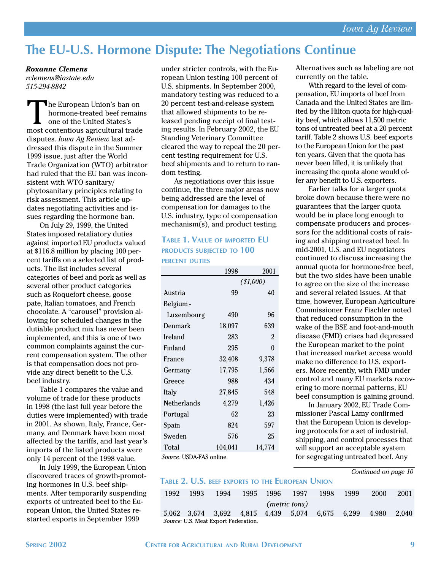# **The EU-U.S. Hormone Dispute: The Negotiations Continue**

*Roxanne Clemens rclemens@iastate.edu 515-294-8842*

The European Union's ban on hormone-treated beef remains one of the United States's most contentious agricultural trade disputes. *Iowa Ag Review* last addressed this dispute in the Summer 1999 issue, just after the World Trade Organization (WTO) arbitrator had ruled that the EU ban was inconsistent with WTO sanitary/ phytosanitary principles relating to risk assessment. This article updates negotiating activities and issues regarding the hormone ban.

On July 29, 1999, the United States imposed retaliatory duties against imported EU products valued at \$116.8 million by placing 100 percent tariffs on a selected list of products. The list includes several categories of beef and pork as well as several other product categories such as Roquefort cheese, goose pate, Italian tomatoes, and French chocolate. A "carousel" provision allowing for scheduled changes in the dutiable product mix has never been implemented, and this is one of two common complaints against the current compensation system. The other is that compensation does not provide any direct benefit to the U.S. beef industry.

Table 1 compares the value and volume of trade for these products in 1998 (the last full year before the duties were implemented) with trade in 2001. As shown, Italy, France, Germany, and Denmark have been most affected by the tariffs, and last year's imports of the listed products were only 14 percent of the 1998 value.

In July 1999, the European Union discovered traces of growth-promoting hormones in U.S. beef shipments. After temporarily suspending exports of untreated beef to the European Union, the United States restarted exports in September 1999

under stricter controls, with the European Union testing 100 percent of U.S. shipments. In September 2000, mandatory testing was reduced to a 20 percent test-and-release system that allowed shipments to be released pending receipt of final testing results. In February 2002, the EU Standing Veterinary Committee cleared the way to repeal the 20 percent testing requirement for U.S. beef shipments and to return to random testing.

As negotiations over this issue continue, the three major areas now being addressed are the level of compensation for damages to the U.S. industry, type of compensation mechanism(s), and product testing.

## **TABLE 1. VALUE OF IMPORTED EU PRODUCTS SUBJECTED TO 100 PERCENT DUTIES**

|                          | 1998    | 2001      |  |  |  |  |  |  |
|--------------------------|---------|-----------|--|--|--|--|--|--|
|                          |         | (\$1,000) |  |  |  |  |  |  |
| Austria                  | 99      | 40        |  |  |  |  |  |  |
| Belgium -                |         |           |  |  |  |  |  |  |
| Luxembourg               | 490     | 96        |  |  |  |  |  |  |
| Denmark                  | 18,097  | 639       |  |  |  |  |  |  |
| Ireland                  | 283     | 2         |  |  |  |  |  |  |
| Finland                  | 295     | 0         |  |  |  |  |  |  |
| France                   | 32,408  | 9,378     |  |  |  |  |  |  |
| Germany                  | 17,795  | 1,566     |  |  |  |  |  |  |
| Greece                   | 988     | 434       |  |  |  |  |  |  |
| Italy                    | 27,845  | 548       |  |  |  |  |  |  |
| Netherlands              | 4,279   | 1,426     |  |  |  |  |  |  |
| Portugal                 | 62      | 23        |  |  |  |  |  |  |
| Spain                    | 824     | 597       |  |  |  |  |  |  |
| Sweden                   | 576     | 25        |  |  |  |  |  |  |
| Total                    | 104,041 | 14,774    |  |  |  |  |  |  |
| Source: USDA FAS online. |         |           |  |  |  |  |  |  |

Alternatives such as labeling are not currently on the table.

With regard to the level of compensation, EU imports of beef from Canada and the United States are limited by the Hilton quota for high-quality beef, which allows 11,500 metric tons of untreated beef at a 20 percent tariff. Table 2 shows U.S. beef exports to the European Union for the past ten years. Given that the quota has never been filled, it is unlikely that increasing the quota alone would offer any benefit to U.S. exporters.

Earlier talks for a larger quota broke down because there were no guarantees that the larger quota would be in place long enough to compensate producers and processors for the additional costs of raising and shipping untreated beef. In mid-2001, U.S. and EU negotiators continued to discuss increasing the annual quota for hormone-free beef, but the two sides have been unable to agree on the size of the increase and several related issues. At that time, however, European Agriculture Commissioner Franz Fischler noted that reduced consumption in the wake of the BSE and foot-and-mouth disease (FMD) crises had depressed the European market to the point that increased market access would make no difference to U.S. exporters. More recently, with FMD under control and many EU markets recovering to more normal patterns, EU beef consumption is gaining ground.

In January 2002, EU Trade Commissioner Pascal Lamy confirmed that the European Union is developing protocols for a set of industrial, shipping, and control processes that will support an acceptable system for segregating untreated beef. Any

*Continued on page 10*

### **TABLE 2. U.S. BEEF EXPORTS TO THE EUROPEAN UNION**

| 1992                                 | 1993 | 1994                                      | 1995 | 1996 | 1997 | 1998 | 1999  | 2000  | 2001  |  |  |
|--------------------------------------|------|-------------------------------------------|------|------|------|------|-------|-------|-------|--|--|
| ( <i>metric tons</i> )               |      |                                           |      |      |      |      |       |       |       |  |  |
|                                      |      | 5.062 3.674 3.692 4.815 4.439 5.074 6.675 |      |      |      |      | 6.299 | 4.980 | 2.040 |  |  |
| Source: U.S. Meat Export Federation. |      |                                           |      |      |      |      |       |       |       |  |  |